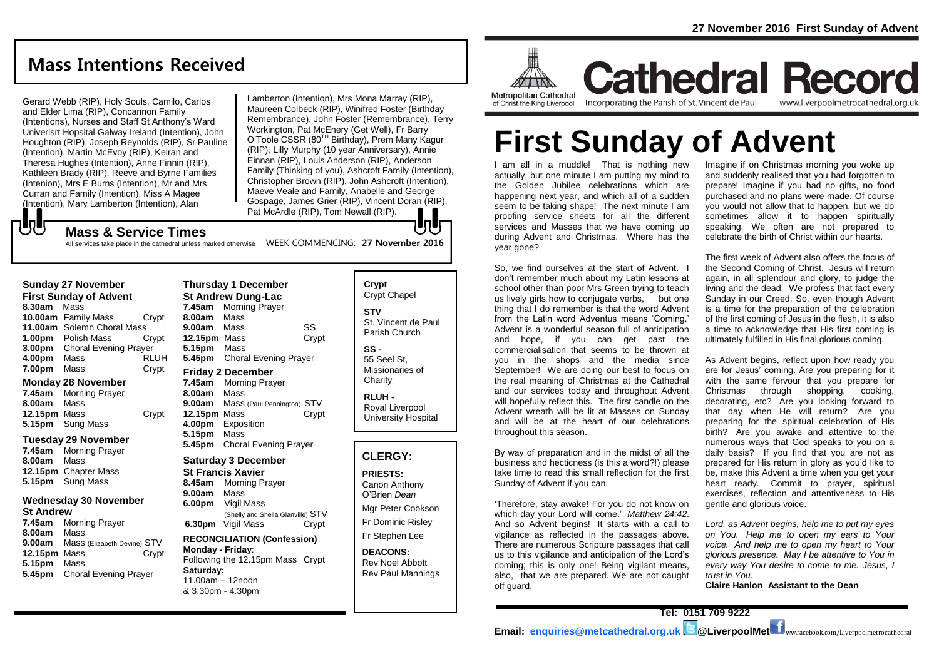# **Mass Intentions Received**

Gerard Webb (RIP), Holy Souls, Camilo, Carlos and Elder Lima (RIP), Concannon Family (Intentions), Nurses and Staff St Anthony's Ward Univerisrt Hopsital Galway Ireland (Intention), John Houghton (RIP), Joseph Reynolds (RIP), Sr Pauline (Intention), Martin McEvoy (RIP), Keiran and Theresa Hughes (Intention), Anne Finnin (RIP), Kathleen Brady (RIP), Reeve and Byrne Families (Intenion), Mrs E Burns (Intention), Mr and Mrs Curran and Family (Intention), Miss A Magee (Intention), Mary Lamberton (Intention), Alan

Lamberton (Intention), Mrs Mona Marray (RIP), Maureen Colbeck (RIP), Winifred Foster (Birthday Remembrance), John Foster (Remembrance), Terry Workington, Pat McEnery (Get Well), Fr Barry O'Toole CSSR (80<sup>TH</sup> Birthday), Prem Many Kagur (RIP), Lilly Murphy (10 year Anniversary), Annie Einnan (RIP), Louis Anderson (RIP), Anderson Family (Thinking of you), Ashcroft Family (Intention), Christopher Brown (RIP), John Ashcroft (Intention), Maeve Veale and Family, Anabelle and George Gospage, James Grier (RIP), Vincent Doran (RIP), Pat McArdle (RIP), Tom Newall (RIP). JŋJr

#### **Mass & Service Times**

All services take place in the cathedral unless marked otherwise MEEK COMMENCING: 27 November 2016

# **Sunday 27 November**

でし

**First Sunday of Advent 8.30am** Mass **10.00am** Family Mass Crypt **11.00am** Solemn Choral Mass **1.00pm** Polish Mass Crypt **3.00pm** Choral Evening Prayer **4.00pm** Mass RLUH **7.00pm** Mass Crypt

#### **Monday 28 November**

**7.45am** Morning Prayer **8.00am** Mass **12.15pm** Mass Crypt **5.15pm** Sung Mass

#### **Tuesday 29 November**

**7.45am** Morning Prayer **8.00am** Mass **12.15pm** Chapter Mass **5.15pm** Sung Mass

#### **Wednesday 30 November St Andrew**

**7.45am** Morning Prayer **8.00am** Mass **9.00am** Mass (Elizabeth Devine) STV **12.15pm** Mass Crypt **5.15pm** Mass **5.45pm** Choral Evening Prayer

**Thursday 1 December St Andrew Dung-Lac 7.45am** Morning Prayer **8.00am** Mass **9.00am** Mass SS **12.15pm** Mass Crypt **5.15pm** Mass **5.45pm** Choral Evening Prayer **Friday 2 December 7.45am** Morning Prayer **8.00am** Mass **9.00am** Mass (Paul Pennington) STV **12.15pm** Mass Crypt **4.00pm** Exposition **5.15pm** Mass **5.45pm** Choral Evening Prayer **Saturday 3 December St Francis Xavier 8.45am** Morning Prayer **9.00am** Mass

**6.00pm** Vigil Mass (Shelly and Sheila Glanville) STV **6.30pm** Vigil Mass Crypt

#### **RECONCILIATION (Confession) Monday - Friday**: Following the 12.15pm Mass Crypt **Saturday:** 11.00am – 12noon & 3.30pm - 4.30pm

**Crypt**  Crypt Chapel **STV** St. Vincent de Paul Parish Church **SS -**

55 Seel St, Missionaries of **Charity** 

**RLUH -** Royal Liverpool University Hospital

#### **CLERGY:**

**PRIESTS:**

Canon Anthony O'Brien *Dean* Mgr Peter Cookson Fr Dominic Risley Fr Stephen Lee

**DEACONS:**

Rev Noel Abbott Rev Paul Mannings



**Cathedral Record** Incorporating the Parish of St. Vincent de Paul www.liverpoolmetrocathedral.org.uk

# **First Sunday of Advent**

I am all in a muddle! That is nothing new actually, but one minute I am putting my mind to the Golden Jubilee celebrations which are happening next year, and which all of a sudden seem to be taking shape! The next minute I am proofing service sheets for all the different services and Masses that we have coming up during Advent and Christmas. Where has the vear gone?

So, we find ourselves at the start of Advent. I don't remember much about my Latin lessons at school other than poor Mrs Green trying to teach us lively girls how to conjugate verbs. but one thing that I do remember is that the word Advent from the Latin word Adventus means 'Coming.' Advent is a wonderful season full of anticipation and hope, if you can get past the commercialisation that seems to be thrown at you in the shops and the media since September! We are doing our best to focus on the real meaning of Christmas at the Cathedral and our services today and throughout Advent will hopefully reflect this. The first candle on the Advent wreath will be lit at Masses on Sunday and will be at the heart of our celebrations throughout this season.

By way of preparation and in the midst of all the business and hecticness (is this a word?!) please take time to read this small reflection for the first Sunday of Advent if you can.

'Therefore, stay awake! For you do not know on which day your Lord will come.' *Matthew 24:42*. And so Advent begins! It starts with a call to vigilance as reflected in the passages above. There are numerous Scripture passages that call us to this vigilance and anticipation of the Lord's coming; this is only one! Being vigilant means, also, that we are prepared. We are not caught off guard.

Imagine if on Christmas morning you woke up and suddenly realised that you had forgotten to prepare! Imagine if you had no gifts, no food purchased and no plans were made. Of course you would not allow that to happen, but we do sometimes allow it to happen spiritually speaking. We often are not prepared to celebrate the birth of Christ within our hearts.

The first week of Advent also offers the focus of the Second Coming of Christ. Jesus will return again, in all splendour and glory, to judge the living and the dead. We profess that fact every Sunday in our Creed. So, even though Advent is a time for the preparation of the celebration of the first coming of Jesus in the flesh, it is also a time to acknowledge that His first coming is ultimately fulfilled in His final glorious coming.

As Advent begins, reflect upon how ready you are for Jesus' coming. Are you preparing for it with the same fervour that you prepare for Christmas through shopping, cooking, decorating, etc? Are you looking forward to that day when He will return? Are you preparing for the spiritual celebration of His birth? Are you awake and attentive to the numerous ways that God speaks to you on a daily basis? If you find that you are not as prepared for His return in glory as you'd like to be, make this Advent a time when you get your heart ready. Commit to prayer, spiritual exercises, reflection and attentiveness to His gentle and glorious voice.

*Lord, as Advent begins, help me to put my eyes on You. Help me to open my ears to Your voice. And help me to open my heart to Your glorious presence. May I be attentive to You in every way You desire to come to me. Jesus, I trust in You.*

**Claire Hanlon Assistant to the Dean**